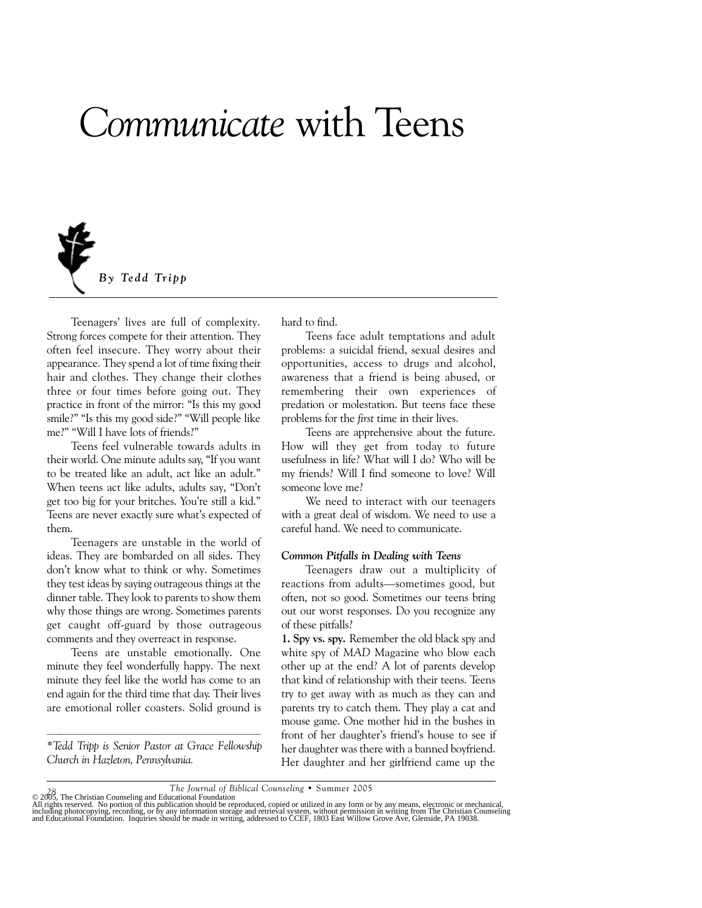# *Communicate* with Teens



Teenagers' lives are full of complexity. Strong forces compete for their attention. They often feel insecure. They worry about their appearance. They spend a lot of time fixing their hair and clothes. They change their clothes three or four times before going out. They practice in front of the mirror: "Is this my good smile?" "Is this my good side?" "Will people like me?" "Will I have lots of friends?"

Teens feel vulnerable towards adults in their world. One minute adults say, "If you want to be treated like an adult, act like an adult." When teens act like adults, adults say, "Don't get too big for your britches. You're still a kid." Teens are never exactly sure what's expected of them.

Teenagers are unstable in the world of ideas. They are bombarded on all sides. They don't know what to think or why. Sometimes they test ideas by saying outrageous things at the dinner table. They look to parents to show them why those things are wrong. Sometimes parents get caught off-guard by those outrageous comments and they overreact in response.

Teens are unstable emotionally. One minute they feel wonderfully happy. The next minute they feel like the world has come to an end again for the third time that day. Their lives are emotional roller coasters. Solid ground is

 $\mathcal{L}_\text{max} = \mathcal{L}_\text{max} = \mathcal{L}_\text{max} = \mathcal{L}_\text{max} = \mathcal{L}_\text{max} = \mathcal{L}_\text{max} = \mathcal{L}_\text{max} = \mathcal{L}_\text{max} = \mathcal{L}_\text{max} = \mathcal{L}_\text{max} = \mathcal{L}_\text{max} = \mathcal{L}_\text{max} = \mathcal{L}_\text{max} = \mathcal{L}_\text{max} = \mathcal{L}_\text{max} = \mathcal{L}_\text{max} = \mathcal{L}_\text{max} = \mathcal{L}_\text{max} = \mathcal{$ *\*Tedd Tripp is Senior Pastor at Grace Fellowship Church in Hazleton, Pennsylvania.*

hard to find.

Teens face adult temptations and adult problems: a suicidal friend, sexual desires and opportunities, access to drugs and alcohol, awareness that a friend is being abused, or remembering their own experiences of predation or molestation. But teens face these problems for the *first* time in their lives.

Teens are apprehensive about the future. How will they get from today to future usefulness in life? What will I do? Who will be my friends? Will I find someone to love? Will someone love me?

We need to interact with our teenagers with a great deal of wisdom. We need to use a careful hand. We need to communicate.

#### *Common Pitfalls in Dealing with Teens*

Teenagers draw out a multiplicity of reactions from adults—sometimes good, but often, not so good. Sometimes our teens bring out our worst responses. Do you recognize any of these pitfalls?

**1. Spy vs. spy.** Remember the old black spy and white spy of *MAD* Magazine who blow each other up at the end? A lot of parents develop that kind of relationship with their teens. Teens try to get away with as much as they can and parents try to catch them. They play a cat and mouse game. One mother hid in the bushes in front of her daughter's friend's house to see if her daughter was there with a banned boyfriend. Her daughter and her girlfriend came up the

78<br>
The Journal of Biblical Counseling • Summer 2005<br>
All rights reserved. No portion of this publication should be reproduced, copied or utilized in any form or by any means, electronic or mechanical,<br>
All rights reserved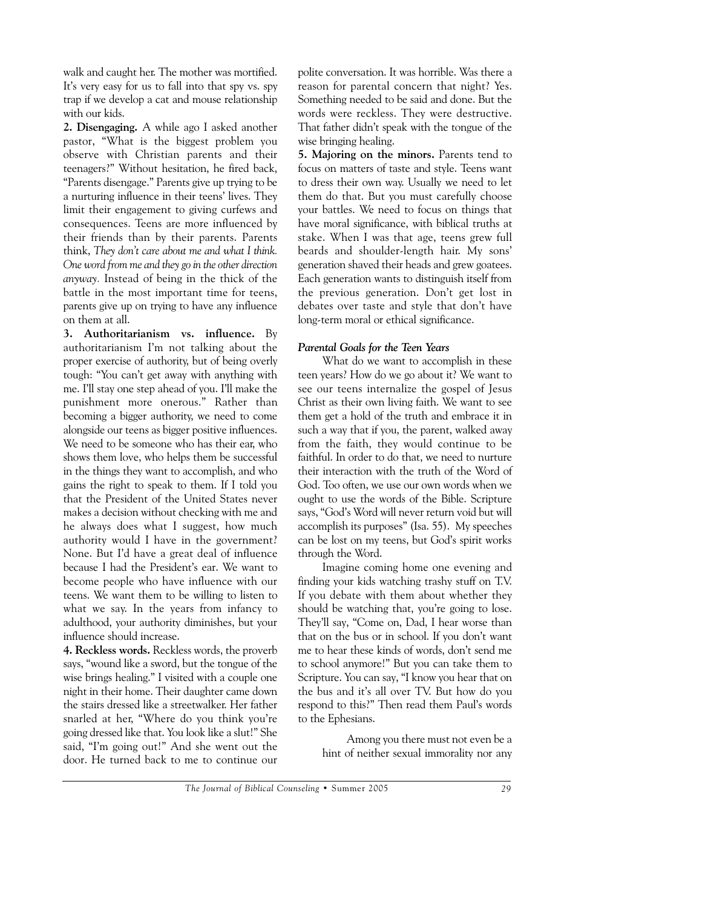walk and caught her. The mother was mortified. It's very easy for us to fall into that spy vs. spy trap if we develop a cat and mouse relationship with our kids.

**2. Disengaging.** A while ago I asked another pastor, "What is the biggest problem you observe with Christian parents and their teenagers?" Without hesitation, he fired back, "Parents disengage." Parents give up trying to be a nurturing influence in their teens' lives. They limit their engagement to giving curfews and consequences. Teens are more influenced by their friends than by their parents. Parents think, *They don't care about me and what I think. One word from me and they go in the other direction anyway.* Instead of being in the thick of the battle in the most important time for teens, parents give up on trying to have any influence on them at all.

**3. Authoritarianism vs. influence.** By authoritarianism I'm not talking about the proper exercise of authority, but of being overly tough: "You can't get away with anything with me. I'll stay one step ahead of you. I'll make the punishment more onerous." Rather than becoming a bigger authority, we need to come alongside our teens as bigger positive influences. We need to be someone who has their ear, who shows them love, who helps them be successful in the things they want to accomplish, and who gains the right to speak to them. If I told you that the President of the United States never makes a decision without checking with me and he always does what I suggest, how much authority would I have in the government? None. But I'd have a great deal of influence because I had the President's ear. We want to become people who have influence with our teens. We want them to be willing to listen to what we say. In the years from infancy to adulthood, your authority diminishes, but your influence should increase.

**4. Reckless words.** Reckless words, the proverb says, "wound like a sword, but the tongue of the wise brings healing." I visited with a couple one night in their home. Their daughter came down the stairs dressed like a streetwalker. Her father snarled at her, "Where do you think you're going dressed like that. You look like a slut!" She said, "I'm going out!" And she went out the door. He turned back to me to continue our

polite conversation. It was horrible. Was there a reason for parental concern that night? Yes. Something needed to be said and done. But the words were reckless. They were destructive. That father didn't speak with the tongue of the wise bringing healing.

**5. Majoring on the minors.** Parents tend to focus on matters of taste and style. Teens want to dress their own way. Usually we need to let them do that. But you must carefully choose your battles. We need to focus on things that have moral significance, with biblical truths at stake. When I was that age, teens grew full beards and shoulder-length hair. My sons' generation shaved their heads and grew goatees. Each generation wants to distinguish itself from the previous generation. Don't get lost in debates over taste and style that don't have long-term moral or ethical significance.

#### *Parental Goals for the Teen Years*

What do we want to accomplish in these teen years? How do we go about it? We want to see our teens internalize the gospel of Jesus Christ as their own living faith. We want to see them get a hold of the truth and embrace it in such a way that if you, the parent, walked away from the faith, they would continue to be faithful. In order to do that, we need to nurture their interaction with the truth of the Word of God. Too often, we use our own words when we ought to use the words of the Bible. Scripture says, "God's Word will never return void but will accomplish its purposes" (Isa. 55). My speeches can be lost on my teens, but God's spirit works through the Word.

Imagine coming home one evening and finding your kids watching trashy stuff on T.V. If you debate with them about whether they should be watching that, you're going to lose. They'll say, "Come on, Dad, I hear worse than that on the bus or in school. If you don't want me to hear these kinds of words, don't send me to school anymore!" But you can take them to Scripture. You can say, "I know you hear that on the bus and it's all over TV. But how do you respond to this?" Then read them Paul's words to the Ephesians.

> Among you there must not even be a hint of neither sexual immorality nor any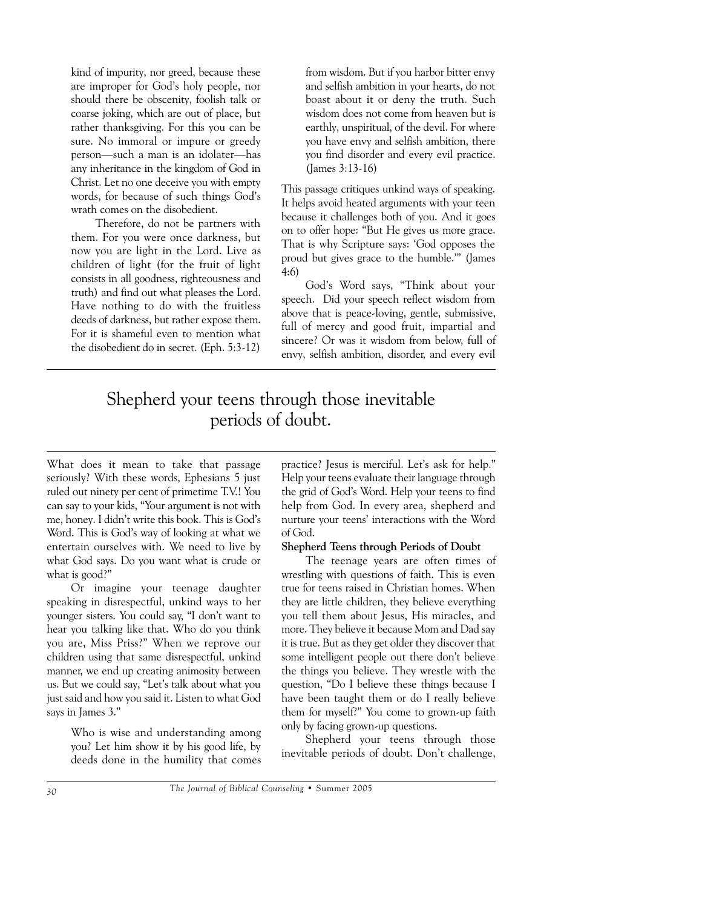kind of impurity, nor greed, because these are improper for God's holy people, nor should there be obscenity, foolish talk or coarse joking, which are out of place, but rather thanksgiving. For this you can be sure. No immoral or impure or greedy person—such a man is an idolater—has any inheritance in the kingdom of God in Christ. Let no one deceive you with empty words, for because of such things God's wrath comes on the disobedient.

Therefore, do not be partners with them. For you were once darkness, but now you are light in the Lord. Live as children of light (for the fruit of light consists in all goodness, righteousness and truth) and find out what pleases the Lord. Have nothing to do with the fruitless deeds of darkness, but rather expose them. For it is shameful even to mention what the disobedient do in secret. (Eph. 5:3-12)

from wisdom. But if you harbor bitter envy and selfish ambition in your hearts, do not boast about it or deny the truth. Such wisdom does not come from heaven but is earthly, unspiritual, of the devil. For where you have envy and selfish ambition, there you find disorder and every evil practice. (James 3:13-16)

This passage critiques unkind ways of speaking. It helps avoid heated arguments with your teen because it challenges both of you. And it goes on to offer hope: "But He gives us more grace. That is why Scripture says: 'God opposes the proud but gives grace to the humble.'" (James 4:6)

God's Word says, "Think about your speech. Did your speech reflect wisdom from above that is peace-loving, gentle, submissive, full of mercy and good fruit, impartial and sincere? Or was it wisdom from below, full of envy, selfish ambition, disorder, and every evil

## Shepherd your teens through those inevitable periods of doubt.

What does it mean to take that passage seriously? With these words, Ephesians 5 just ruled out ninety per cent of primetime T.V.! You can say to your kids, "Your argument is not with me, honey. I didn't write this book. This is God's Word. This is God's way of looking at what we entertain ourselves with. We need to live by what God says. Do you want what is crude or what is good?"

Or imagine your teenage daughter speaking in disrespectful, unkind ways to her younger sisters. You could say, "I don't want to hear you talking like that. Who do you think you are, Miss Priss?" When we reprove our children using that same disrespectful, unkind manner, we end up creating animosity between us. But we could say, "Let's talk about what you just said and how you said it. Listen to what God says in James 3."

> Who is wise and understanding among you? Let him show it by his good life, by deeds done in the humility that comes

practice? Jesus is merciful. Let's ask for help." Help your teens evaluate their language through the grid of God's Word. Help your teens to find help from God. In every area, shepherd and nurture your teens' interactions with the Word of God.

#### **Shepherd Teens through Periods of Doubt**

The teenage years are often times of wrestling with questions of faith. This is even true for teens raised in Christian homes. When they are little children, they believe everything you tell them about Jesus, His miracles, and more. They believe it because Mom and Dad say it is true. But as they get older they discover that some intelligent people out there don't believe the things you believe. They wrestle with the question, "Do I believe these things because I have been taught them or do I really believe them for myself?" You come to grown-up faith only by facing grown-up questions.

Shepherd your teens through those inevitable periods of doubt. Don't challenge,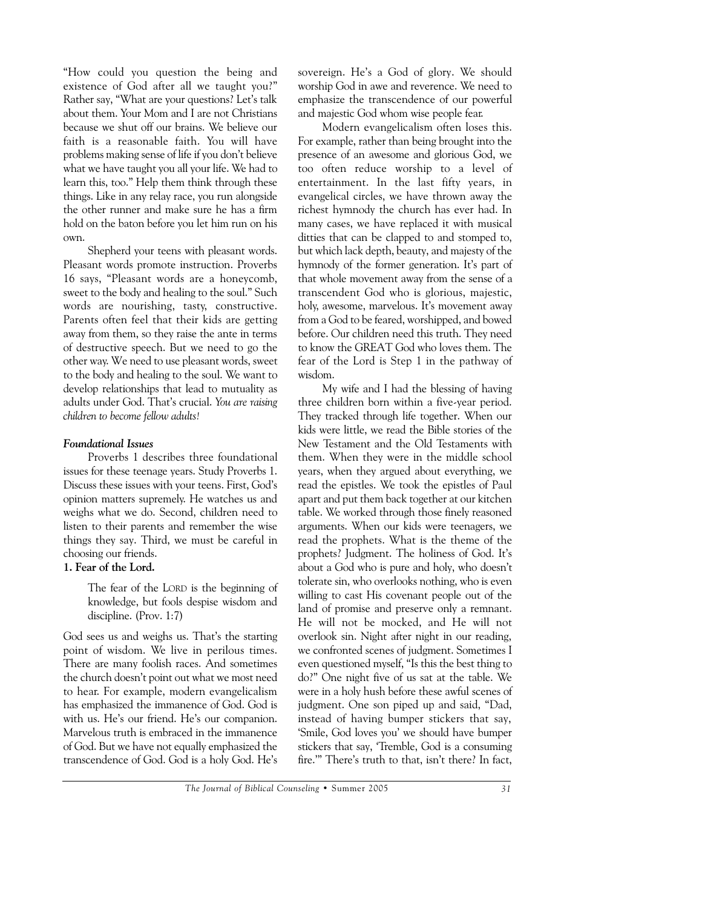"How could you question the being and existence of God after all we taught you?" Rather say, "What are your questions? Let's talk about them. Your Mom and I are not Christians because we shut off our brains. We believe our faith is a reasonable faith. You will have problems making sense of life if you don't believe what we have taught you all your life. We had to learn this, too." Help them think through these things. Like in any relay race, you run alongside the other runner and make sure he has a firm hold on the baton before you let him run on his own.

Shepherd your teens with pleasant words. Pleasant words promote instruction. Proverbs 16 says, "Pleasant words are a honeycomb, sweet to the body and healing to the soul." Such words are nourishing, tasty, constructive. Parents often feel that their kids are getting away from them, so they raise the ante in terms of destructive speech. But we need to go the other way. We need to use pleasant words, sweet to the body and healing to the soul. We want to develop relationships that lead to mutuality as adults under God. That's crucial. *You are raising children to become fellow adults!*

#### *Foundational Issues*

Proverbs 1 describes three foundational issues for these teenage years. Study Proverbs 1. Discuss these issues with your teens. First, God's opinion matters supremely. He watches us and weighs what we do. Second, children need to listen to their parents and remember the wise things they say. Third, we must be careful in choosing our friends.

#### **1. Fear of the Lord.**

The fear of the LORD is the beginning of knowledge, but fools despise wisdom and discipline. (Prov. 1:7)

God sees us and weighs us. That's the starting point of wisdom. We live in perilous times. There are many foolish races. And sometimes the church doesn't point out what we most need to hear. For example, modern evangelicalism has emphasized the immanence of God. God is with us. He's our friend. He's our companion. Marvelous truth is embraced in the immanence of God. But we have not equally emphasized the transcendence of God. God is a holy God. He's sovereign. He's a God of glory. We should worship God in awe and reverence. We need to emphasize the transcendence of our powerful and majestic God whom wise people fear.

Modern evangelicalism often loses this. For example, rather than being brought into the presence of an awesome and glorious God, we too often reduce worship to a level of entertainment. In the last fifty years, in evangelical circles, we have thrown away the richest hymnody the church has ever had. In many cases, we have replaced it with musical ditties that can be clapped to and stomped to, but which lack depth, beauty, and majesty of the hymnody of the former generation. It's part of that whole movement away from the sense of a transcendent God who is glorious, majestic, holy, awesome, marvelous. It's movement away from a God to be feared, worshipped, and bowed before. Our children need this truth. They need to know the GREAT God who loves them. The fear of the Lord is Step 1 in the pathway of wisdom.

My wife and I had the blessing of having three children born within a five-year period. They tracked through life together. When our kids were little, we read the Bible stories of the New Testament and the Old Testaments with them. When they were in the middle school years, when they argued about everything, we read the epistles. We took the epistles of Paul apart and put them back together at our kitchen table. We worked through those finely reasoned arguments. When our kids were teenagers, we read the prophets. What is the theme of the prophets? Judgment. The holiness of God. It's about a God who is pure and holy, who doesn't tolerate sin, who overlooks nothing, who is even willing to cast His covenant people out of the land of promise and preserve only a remnant. He will not be mocked, and He will not overlook sin. Night after night in our reading, we confronted scenes of judgment. Sometimes I even questioned myself, "Is this the best thing to do?" One night five of us sat at the table. We were in a holy hush before these awful scenes of judgment. One son piped up and said, "Dad, instead of having bumper stickers that say, 'Smile, God loves you' we should have bumper stickers that say, 'Tremble, God is a consuming fire.'" There's truth to that, isn't there? In fact,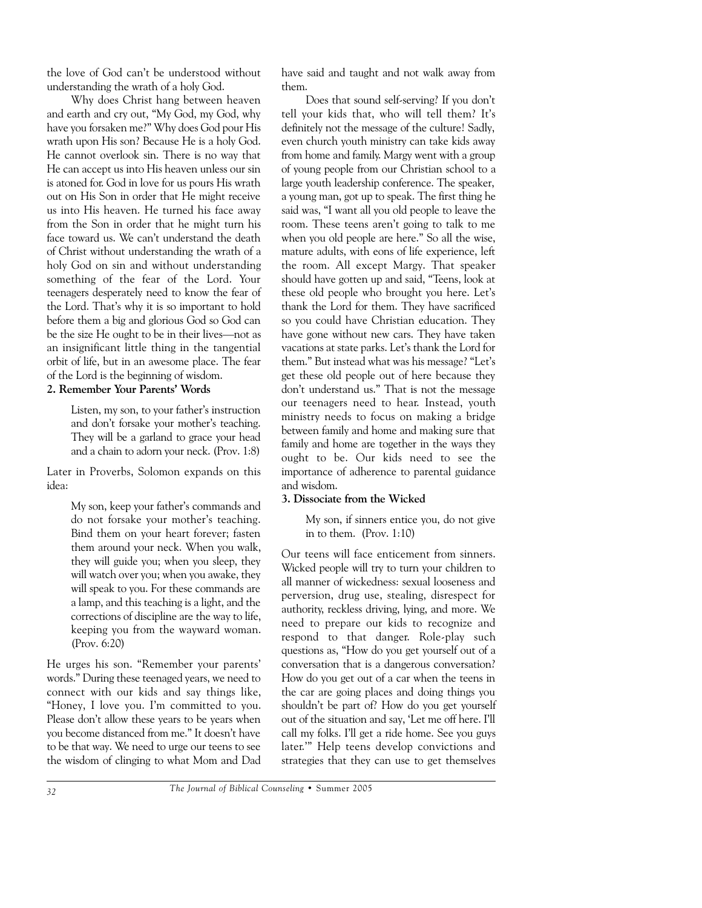the love of God can't be understood without understanding the wrath of a holy God.

Why does Christ hang between heaven and earth and cry out, "My God, my God, why have you forsaken me?" Why does God pour His wrath upon His son? Because He is a holy God. He cannot overlook sin. There is no way that He can accept us into His heaven unless our sin is atoned for. God in love for us pours His wrath out on His Son in order that He might receive us into His heaven. He turned his face away from the Son in order that he might turn his face toward us. We can't understand the death of Christ without understanding the wrath of a holy God on sin and without understanding something of the fear of the Lord. Your teenagers desperately need to know the fear of the Lord. That's why it is so important to hold before them a big and glorious God so God can be the size He ought to be in their lives—not as an insignificant little thing in the tangential orbit of life, but in an awesome place. The fear of the Lord is the beginning of wisdom.

#### **2. Remember Your Parents' Words**

Listen, my son, to your father's instruction and don't forsake your mother's teaching. They will be a garland to grace your head and a chain to adorn your neck. (Prov. 1:8)

Later in Proverbs, Solomon expands on this idea:

> My son, keep your father's commands and do not forsake your mother's teaching. Bind them on your heart forever; fasten them around your neck. When you walk, they will guide you; when you sleep, they will watch over you; when you awake, they will speak to you. For these commands are a lamp, and this teaching is a light, and the corrections of discipline are the way to life, keeping you from the wayward woman. (Prov. 6:20)

He urges his son. "Remember your parents' words." During these teenaged years, we need to connect with our kids and say things like, "Honey, I love you. I'm committed to you. Please don't allow these years to be years when you become distanced from me." It doesn't have to be that way. We need to urge our teens to see the wisdom of clinging to what Mom and Dad have said and taught and not walk away from them.

Does that sound self-serving? If you don't tell your kids that, who will tell them? It's definitely not the message of the culture! Sadly, even church youth ministry can take kids away from home and family. Margy went with a group of young people from our Christian school to a large youth leadership conference. The speaker, a young man, got up to speak. The first thing he said was, "I want all you old people to leave the room. These teens aren't going to talk to me when you old people are here." So all the wise, mature adults, with eons of life experience, left the room. All except Margy. That speaker should have gotten up and said, "Teens, look at these old people who brought you here. Let's thank the Lord for them. They have sacrificed so you could have Christian education. They have gone without new cars. They have taken vacations at state parks. Let's thank the Lord for them." But instead what was his message? "Let's get these old people out of here because they don't understand us." That is not the message our teenagers need to hear. Instead, youth ministry needs to focus on making a bridge between family and home and making sure that family and home are together in the ways they ought to be. Our kids need to see the importance of adherence to parental guidance and wisdom.

### **3. Dissociate from the Wicked**

My son, if sinners entice you, do not give in to them. (Prov. 1:10)

Our teens will face enticement from sinners. Wicked people will try to turn your children to all manner of wickedness: sexual looseness and perversion, drug use, stealing, disrespect for authority, reckless driving, lying, and more. We need to prepare our kids to recognize and respond to that danger. Role-play such questions as, "How do you get yourself out of a conversation that is a dangerous conversation? How do you get out of a car when the teens in the car are going places and doing things you shouldn't be part of? How do you get yourself out of the situation and say, 'Let me off here. I'll call my folks. I'll get a ride home. See you guys later.'" Help teens develop convictions and strategies that they can use to get themselves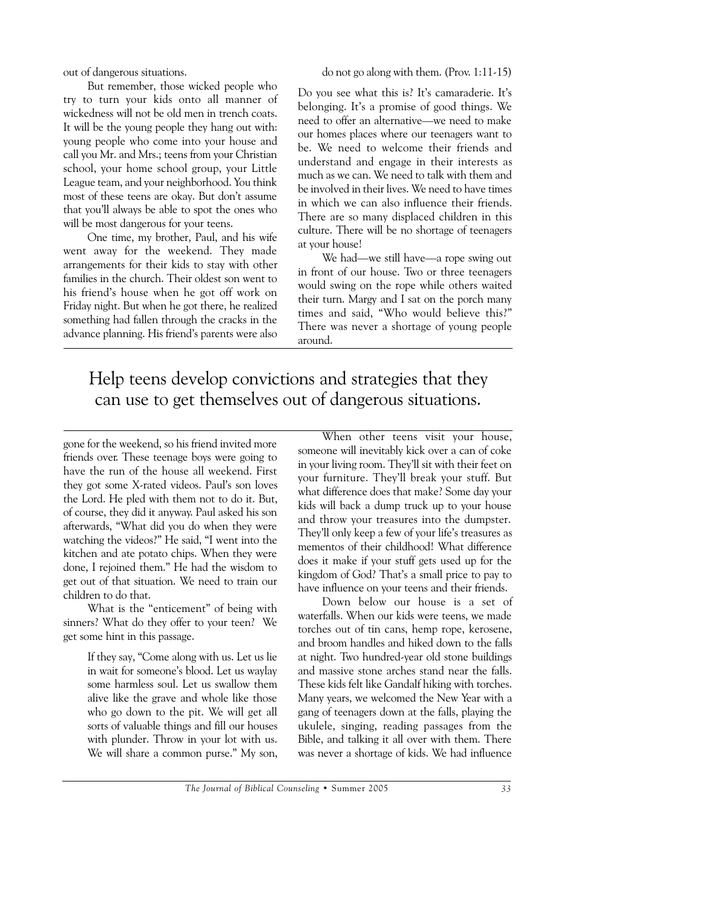out of dangerous situations.

But remember, those wicked people who try to turn your kids onto all manner of wickedness will not be old men in trench coats. It will be the young people they hang out with: young people who come into your house and call you Mr. and Mrs.; teens from your Christian school, your home school group, your Little League team, and your neighborhood. You think most of these teens are okay. But don't assume that you'll always be able to spot the ones who will be most dangerous for your teens.

One time, my brother, Paul, and his wife went away for the weekend. They made arrangements for their kids to stay with other families in the church. Their oldest son went to his friend's house when he got off work on Friday night. But when he got there, he realized something had fallen through the cracks in the advance planning. His friend's parents were also

do not go along with them. (Prov. 1:11-15)

Do you see what this is? It's camaraderie. It's belonging. It's a promise of good things. We need to offer an alternative—we need to make our homes places where our teenagers want to be. We need to welcome their friends and understand and engage in their interests as much as we can. We need to talk with them and be involved in their lives. We need to have times in which we can also influence their friends. There are so many displaced children in this culture. There will be no shortage of teenagers at your house!

We had—we still have—a rope swing out in front of our house. Two or three teenagers would swing on the rope while others waited their turn. Margy and I sat on the porch many times and said, "Who would believe this?" There was never a shortage of young people around.

## Help teens develop convictions and strategies that they can use to get themselves out of dangerous situations.

gone for the weekend, so his friend invited more friends over. These teenage boys were going to have the run of the house all weekend. First they got some X-rated videos. Paul's son loves the Lord. He pled with them not to do it. But, of course, they did it anyway. Paul asked his son afterwards, "What did you do when they were watching the videos?" He said, "I went into the kitchen and ate potato chips. When they were done, I rejoined them." He had the wisdom to get out of that situation. We need to train our children to do that.

What is the "enticement" of being with sinners? What do they offer to your teen? We get some hint in this passage.

> If they say, "Come along with us. Let us lie in wait for someone's blood. Let us waylay some harmless soul. Let us swallow them alive like the grave and whole like those who go down to the pit. We will get all sorts of valuable things and fill our houses with plunder. Throw in your lot with us. We will share a common purse." My son,

When other teens visit your house, someone will inevitably kick over a can of coke in your living room. They'll sit with their feet on your furniture. They'll break your stuff. But what difference does that make? Some day your kids will back a dump truck up to your house and throw your treasures into the dumpster. They'll only keep a few of your life's treasures as mementos of their childhood! What difference does it make if your stuff gets used up for the kingdom of God? That's a small price to pay to have influence on your teens and their friends.

Down below our house is a set of waterfalls. When our kids were teens, we made torches out of tin cans, hemp rope, kerosene, and broom handles and hiked down to the falls at night. Two hundred-year old stone buildings and massive stone arches stand near the falls. These kids felt like Gandalf hiking with torches. Many years, we welcomed the New Year with a gang of teenagers down at the falls, playing the ukulele, singing, reading passages from the Bible, and talking it all over with them. There was never a shortage of kids. We had influence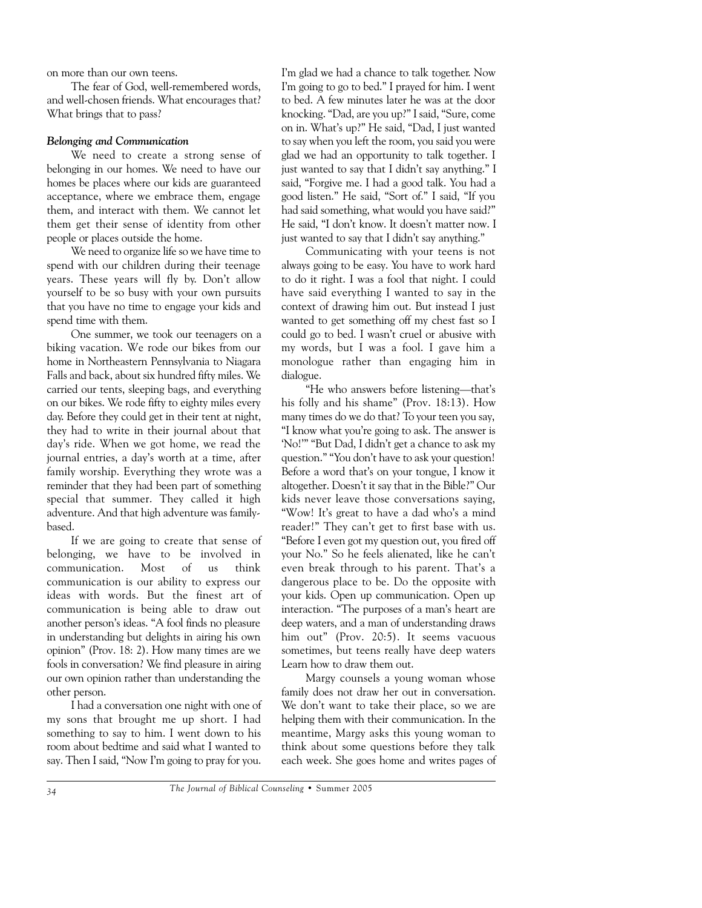on more than our own teens.

The fear of God, well-remembered words, and well-chosen friends. What encourages that? What brings that to pass?

#### *Belonging and Communication*

We need to create a strong sense of belonging in our homes. We need to have our homes be places where our kids are guaranteed acceptance, where we embrace them, engage them, and interact with them. We cannot let them get their sense of identity from other people or places outside the home.

We need to organize life so we have time to spend with our children during their teenage years. These years will fly by. Don't allow yourself to be so busy with your own pursuits that you have no time to engage your kids and spend time with them.

One summer, we took our teenagers on a biking vacation. We rode our bikes from our home in Northeastern Pennsylvania to Niagara Falls and back, about six hundred fifty miles. We carried our tents, sleeping bags, and everything on our bikes. We rode fifty to eighty miles every day. Before they could get in their tent at night, they had to write in their journal about that day's ride. When we got home, we read the journal entries, a day's worth at a time, after family worship. Everything they wrote was a reminder that they had been part of something special that summer. They called it high adventure. And that high adventure was familybased.

If we are going to create that sense of belonging, we have to be involved in communication. Most of us think communication is our ability to express our ideas with words. But the finest art of communication is being able to draw out another person's ideas. "A fool finds no pleasure in understanding but delights in airing his own opinion" (Prov. 18: 2). How many times are we fools in conversation? We find pleasure in airing our own opinion rather than understanding the other person.

I had a conversation one night with one of my sons that brought me up short. I had something to say to him. I went down to his room about bedtime and said what I wanted to say. Then I said, "Now I'm going to pray for you. I'm glad we had a chance to talk together. Now I'm going to go to bed." I prayed for him. I went to bed. A few minutes later he was at the door knocking. "Dad, are you up?" I said, "Sure, come on in. What's up?" He said, "Dad, I just wanted to say when you left the room, you said you were glad we had an opportunity to talk together. I just wanted to say that I didn't say anything." I said, "Forgive me. I had a good talk. You had a good listen." He said, "Sort of." I said, "If you had said something, what would you have said?" He said, "I don't know. It doesn't matter now. I just wanted to say that I didn't say anything."

Communicating with your teens is not always going to be easy. You have to work hard to do it right. I was a fool that night. I could have said everything I wanted to say in the context of drawing him out. But instead I just wanted to get something off my chest fast so I could go to bed. I wasn't cruel or abusive with my words, but I was a fool. I gave him a monologue rather than engaging him in dialogue.

"He who answers before listening—that's his folly and his shame" (Prov. 18:13). How many times do we do that? To your teen you say, "I know what you're going to ask. The answer is 'No!'" "But Dad, I didn't get a chance to ask my question." "You don't have to ask your question! Before a word that's on your tongue, I know it altogether. Doesn't it say that in the Bible?" Our kids never leave those conversations saying, "Wow! It's great to have a dad who's a mind reader!" They can't get to first base with us. "Before I even got my question out, you fired off your No." So he feels alienated, like he can't even break through to his parent. That's a dangerous place to be. Do the opposite with your kids. Open up communication. Open up interaction. "The purposes of a man's heart are deep waters, and a man of understanding draws him out" (Prov. 20:5). It seems vacuous sometimes, but teens really have deep waters Learn how to draw them out.

Margy counsels a young woman whose family does not draw her out in conversation. We don't want to take their place, so we are helping them with their communication. In the meantime, Margy asks this young woman to think about some questions before they talk each week. She goes home and writes pages of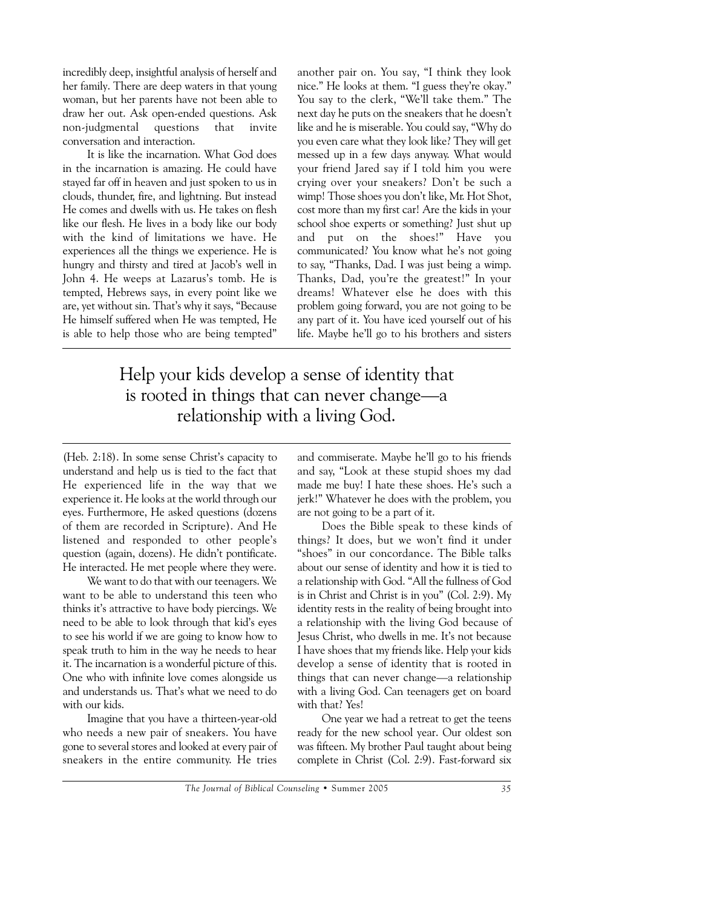incredibly deep, insightful analysis of herself and her family. There are deep waters in that young woman, but her parents have not been able to draw her out. Ask open-ended questions. Ask non-judgmental questions that invite conversation and interaction.

It is like the incarnation. What God does in the incarnation is amazing. He could have stayed far off in heaven and just spoken to us in clouds, thunder, fire, and lightning. But instead He comes and dwells with us. He takes on flesh like our flesh. He lives in a body like our body with the kind of limitations we have. He experiences all the things we experience. He is hungry and thirsty and tired at Jacob's well in John 4. He weeps at Lazarus's tomb. He is tempted, Hebrews says, in every point like we are, yet without sin. That's why it says, "Because He himself suffered when He was tempted, He is able to help those who are being tempted"

another pair on. You say, "I think they look nice." He looks at them. "I guess they're okay." You say to the clerk, "We'll take them." The next day he puts on the sneakers that he doesn't like and he is miserable. You could say, "Why do you even care what they look like? They will get messed up in a few days anyway. What would your friend Jared say if I told him you were crying over your sneakers? Don't be such a wimp! Those shoes you don't like, Mr. Hot Shot, cost more than my first car! Are the kids in your school shoe experts or something? Just shut up and put on the shoes!" Have you communicated? You know what he's not going to say, "Thanks, Dad. I was just being a wimp. Thanks, Dad, you're the greatest!" In your dreams! Whatever else he does with this problem going forward, you are not going to be any part of it. You have iced yourself out of his life. Maybe he'll go to his brothers and sisters

## Help your kids develop a sense of identity that is rooted in things that can never change—a relationship with a living God.

(Heb. 2:18). In some sense Christ's capacity to understand and help us is tied to the fact that He experienced life in the way that we experience it. He looks at the world through our eyes. Furthermore, He asked questions (dozens of them are recorded in Scripture). And He listened and responded to other people's question (again, dozens). He didn't pontificate. He interacted. He met people where they were.

We want to do that with our teenagers. We want to be able to understand this teen who thinks it's attractive to have body piercings. We need to be able to look through that kid's eyes to see his world if we are going to know how to speak truth to him in the way he needs to hear it. The incarnation is a wonderful picture of this. One who with infinite love comes alongside us and understands us. That's what we need to do with our kids.

Imagine that you have a thirteen-year-old who needs a new pair of sneakers. You have gone to several stores and looked at every pair of sneakers in the entire community. He tries

and commiserate. Maybe he'll go to his friends and say, "Look at these stupid shoes my dad made me buy! I hate these shoes. He's such a jerk!" Whatever he does with the problem, you are not going to be a part of it.

Does the Bible speak to these kinds of things? It does, but we won't find it under "shoes" in our concordance. The Bible talks about our sense of identity and how it is tied to a relationship with God. "All the fullness of God is in Christ and Christ is in you" (Col. 2:9). My identity rests in the reality of being brought into a relationship with the living God because of Jesus Christ, who dwells in me. It's not because I have shoes that my friends like. Help your kids develop a sense of identity that is rooted in things that can never change—a relationship with a living God. Can teenagers get on board with that? Yes!

One year we had a retreat to get the teens ready for the new school year. Our oldest son was fifteen. My brother Paul taught about being complete in Christ (Col. 2:9). Fast-forward six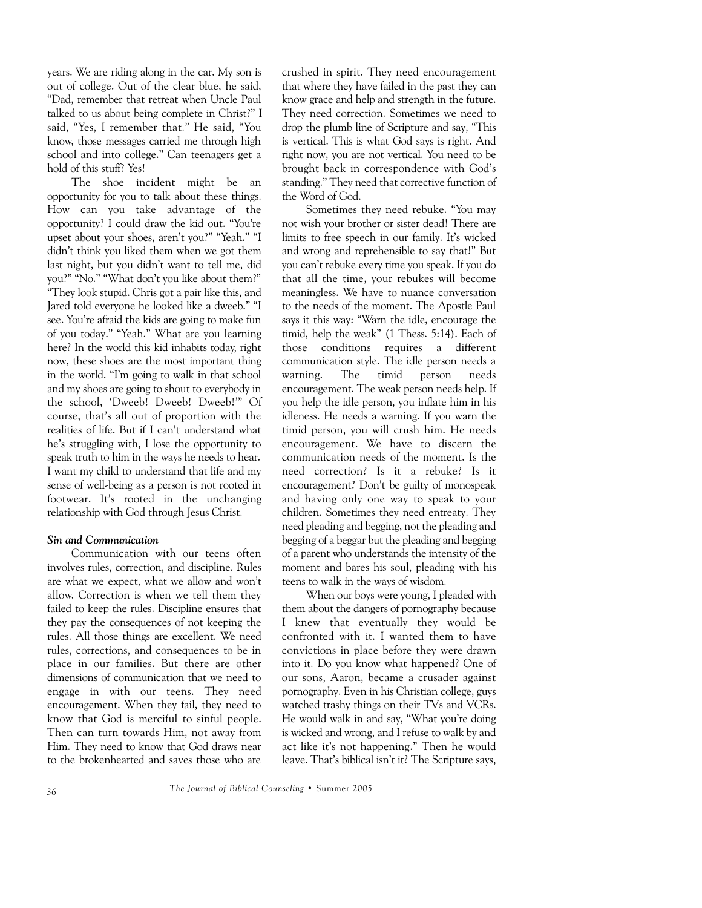years. We are riding along in the car. My son is out of college. Out of the clear blue, he said, "Dad, remember that retreat when Uncle Paul talked to us about being complete in Christ?" I said, "Yes, I remember that." He said, "You know, those messages carried me through high school and into college." Can teenagers get a hold of this stuff? Yes!

The shoe incident might be an opportunity for you to talk about these things. How can you take advantage of the opportunity? I could draw the kid out. "You're upset about your shoes, aren't you?" "Yeah." "I didn't think you liked them when we got them last night, but you didn't want to tell me, did you?" "No." "What don't you like about them?" "They look stupid. Chris got a pair like this, and Jared told everyone he looked like a dweeb." "I see. You're afraid the kids are going to make fun of you today." "Yeah." What are you learning here? In the world this kid inhabits today, right now, these shoes are the most important thing in the world. "I'm going to walk in that school and my shoes are going to shout to everybody in the school, 'Dweeb! Dweeb! Dweeb!'" Of course, that's all out of proportion with the realities of life. But if I can't understand what he's struggling with, I lose the opportunity to speak truth to him in the ways he needs to hear. I want my child to understand that life and my sense of well-being as a person is not rooted in footwear. It's rooted in the unchanging relationship with God through Jesus Christ.

### *Sin and Communication*

Communication with our teens often involves rules, correction, and discipline. Rules are what we expect, what we allow and won't allow. Correction is when we tell them they failed to keep the rules. Discipline ensures that they pay the consequences of not keeping the rules. All those things are excellent. We need rules, corrections, and consequences to be in place in our families. But there are other dimensions of communication that we need to engage in with our teens. They need encouragement. When they fail, they need to know that God is merciful to sinful people. Then can turn towards Him, not away from Him. They need to know that God draws near to the brokenhearted and saves those who are crushed in spirit. They need encouragement that where they have failed in the past they can know grace and help and strength in the future. They need correction. Sometimes we need to drop the plumb line of Scripture and say, "This is vertical. This is what God says is right. And right now, you are not vertical. You need to be brought back in correspondence with God's standing." They need that corrective function of the Word of God.

Sometimes they need rebuke. "You may not wish your brother or sister dead! There are limits to free speech in our family. It's wicked and wrong and reprehensible to say that!" But you can't rebuke every time you speak. If you do that all the time, your rebukes will become meaningless. We have to nuance conversation to the needs of the moment. The Apostle Paul says it this way: "Warn the idle, encourage the timid, help the weak" (1 Thess. 5:14). Each of those conditions requires a different communication style. The idle person needs a warning. The timid person needs encouragement. The weak person needs help. If you help the idle person, you inflate him in his idleness. He needs a warning. If you warn the timid person, you will crush him. He needs encouragement. We have to discern the communication needs of the moment. Is the need correction? Is it a rebuke? Is it encouragement? Don't be guilty of monospeak and having only one way to speak to your children. Sometimes they need entreaty. They need pleading and begging, not the pleading and begging of a beggar but the pleading and begging of a parent who understands the intensity of the moment and bares his soul, pleading with his teens to walk in the ways of wisdom.

When our boys were young, I pleaded with them about the dangers of pornography because I knew that eventually they would be confronted with it. I wanted them to have convictions in place before they were drawn into it. Do you know what happened? One of our sons, Aaron, became a crusader against pornography. Even in his Christian college, guys watched trashy things on their TVs and VCRs. He would walk in and say, "What you're doing is wicked and wrong, and I refuse to walk by and act like it's not happening." Then he would leave. That's biblical isn't it? The Scripture says,